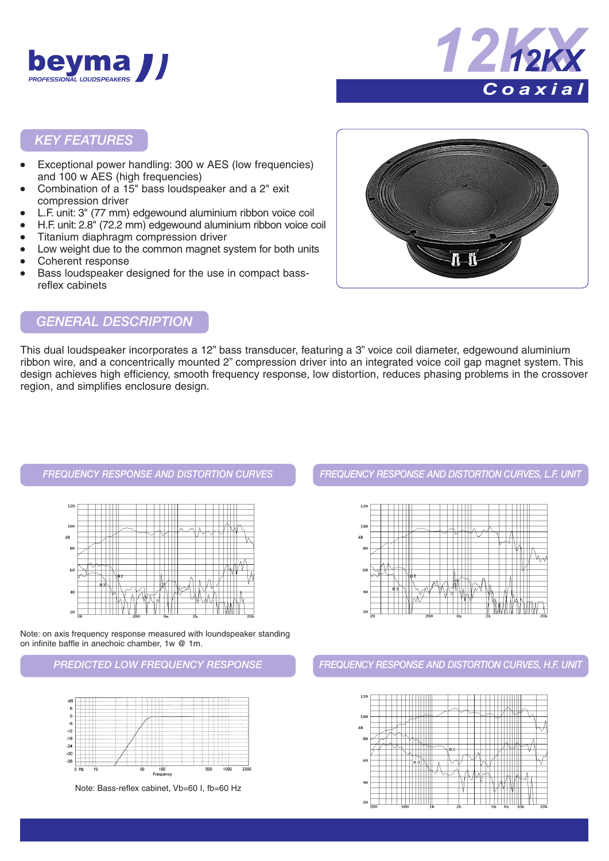



#### *KEY FEATURES*

- Exceptional power handling: 300 w AES (low frequencies) and 100 w AES (high frequencies)
- Combination of a 15" bass loudspeaker and a 2" exit compression driver
- L.F. unit: 3" (77 mm) edgewound aluminium ribbon voice coil
- H.F. unit: 2.8" (72.2 mm) edgewound aluminium ribbon voice coil
- Titanium diaphragm compression driver
- Low weight due to the common magnet system for both units Coherent response
- Bass loudspeaker designed for the use in compact bassreflex cabinets



#### *GENERAL DESCRIPTION*

This dual loudspeaker incorporates a 12" bass transducer, featuring a 3" voice coil diameter, edgewound aluminium ribbon wire, and a concentrically mounted 2" compression driver into an integrated voice coil gap magnet system. This design achieves high efficiency, smooth frequency response, low distortion, reduces phasing problems in the crossover region, and simplifies enclosure design.



Note: on axis frequency response measured with loundspeaker standing on infinite baffle in anechoic chamber, 1w @ 1m.



*FREQUENCY RESPONSE AND DISTORTION CURVES FREQUENCY RESPONSE AND DISTORTION CURVES, L.F. UNIT*



*PREDICTED LOW FREQUENCY RESPONSE FREQUENCY RESPONSE AND DISTORTION CURVES, H.F. UNIT*